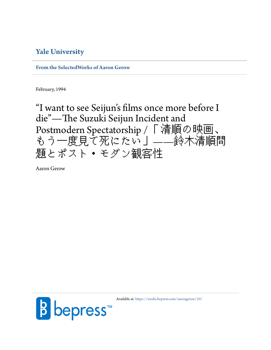# **[Yale University](http://www.yale.edu)**

**[From the SelectedWorks of Aaron Gerow](https://works.bepress.com/aarongerow/)**

February, 1994

"I want to see Seijun's films once more before I die"—The Suzuki Seijun Incident and Postmodern Spectatorship / 「清順の映画、 もう一度見て死にたい」——鈴木清順問 題とポスト・モダン観客性

Aaron Gerow



Available at: <https://works.bepress.com/aarongerow/10/>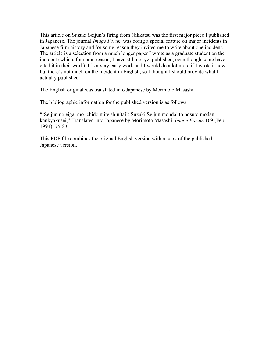This article on Suzuki Seijun's firing from Nikkatsu was the first major piece I published in Japanese. The journal *Image Forum* was doing a special feature on major incidents in Japanese film history and for some reason they invited me to write about one incident. The article is a selection from a much longer paper I wrote as a graduate student on the incident (which, for some reason, I have still not yet published, even though some have cited it in their work). It's a very early work and I would do a lot more if I wrote it now, but there's not much on the incident in English, so I thought I should provide what I actually published.

The English original was translated into Japanese by Morimoto Masashi.

The bibliographic information for the published version is as follows:

"'Seijun no eiga, mō ichido mite shinitai': Suzuki Seijun mondai to posuto modan kankyakusei," Translated into Japanese by Morimoto Masashi. *Image Forum* 169 (Feb. 1994): 75-83.

This PDF file combines the original English version with a copy of the published Japanese version.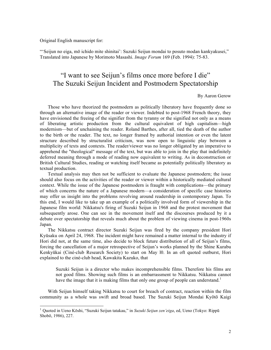Original English manuscript for:

"'Seijun no eiga, mō ichido mite shinitai': Suzuki Seijun mondai to posuto modan kankyakusei," Translated into Japanese by Morimoto Masashi. *Image Forum* 169 (Feb. 1994): 75-83.

## "I want to see Seijun's films once more before I die" The Suzuki Seijun Incident and Postmodern Spectatorship

### By Aaron Gerow

Those who have theorized the postmodern as politically liberatory have frequently done so through an alternative image of the reader or viewer. Indebted to post-1968 French theory, they have envisioned the freeing of the signifier from the tyranny or the signified not only as a means of liberating artistic production from the cultural equivalent of high capitalism—high modernism—but of unchaining the reader. Roland Barthes, after all, tied the death of the author to the birth or the reader. The text, no longer framed by authorial intention or even the latent structure described by structuralist criticism, was now open to linguistic play between a multiplicity of texts and contexts. The reader/viewer was no longer obligated by an imperative to apprehend the "theological" message of the text, but was able to join in the play that indefinitely deferred meaning through a mode of reading now equivalent to writing. As in deconstruction or British Cultural Studies, reading or watching itself became as potentially politically liberatory as textual production.

Textual analysis may then not be sufficient to evaluate the Japanese postmodern; the issue should also focus on the activities of the reader or viewer within a historically mediated cultural context. While the issue of the Japanese postmodern is fraught with complications—the primary of which concerns the nature of a Japanese modern—a consideration of specific case histories may offer us insight into the problems revolving around readership in contemporary Japan. To this end, I would like to take up an example of a politically involved form of viewership in the Japanese film world: Nikkatsu's firing of Suzuki Seijun in 1968 and the protest movement that subsequently arose. One can see in the movement itself and the discourses produced by it a debate over spectatorship that reveals much about the problem of viewing cinema in post-1960s Japan.

The Nikkatsu contract director Suzuki Seijun was fired by the company president Hori Kyūsaku on April 24, 1968. The incident might have remained a matter internal to the industry if Hori did not, at the same time, also decide to block future distribution of all of Seijun's films, forcing the cancellation of a major retrospective of Seijun's works planned by the Shine Kurabu Kenkyūkai (Ciné-club Research Society) to start on May l0. In an oft quoted outburst, Hori explained to the ciné-club head, Kawakita Kazuko, that

Suzuki Seijun is a director who makes incomprehensible films. Therefore his films are not good films. Showing such films is an embarrassment to Nikkatsu. Nikkatsu cannot have the image that it is making films that only one group of people can understand.<sup>1</sup>

With Seijun himself taking Nikkatsu to court for breach of contract, reaction within the film community as a whole was swift and broad based. The Suzuki Seijun Mondai Kyōtō Kaigi

 <sup>1</sup> Quoted in Ueno Kōshi, "Suzuki Seijun tatakau," in *Suzuki Seijun zen'eiga*, ed, Ueno (Tokyo: Ripp<sup>ū</sup> Shobō, 1986), 227.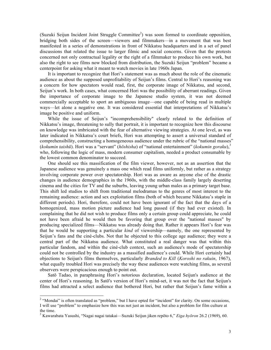(Suzuki Seijun Incident Joint Struggle Committee<sup>2</sup>) was soon formed to coordinate opposition, bridging both sides of the screen—viewers and filmmakers—in a movement that was best manifested in a series of demonstrations in front of Nikkatsu headquarters and in a set of panel discussions that related the issue to larger filmic and social concerns. Given that the protests concerned not only contractual legality or the right of a filmmaker to produce his own work, but also the right to see films now blocked from distribution, the Suzuki Seijun "problem" became a centerpoint for asking what it meant to watch movies in late 1960s Japan.

It is important to recognize that Hori's statement was as much about the role of the cinematic audience as about the supposed unprofitability of Seijun's films. Central to Hori's reasoning was a concern for how spectators would read, first, the corporate image of Nikkatsu, and second, Seijun's work. In both cases, what concerned Hori was the possibility of aberrant readings. Given the importance of corporate image to the Japanese studio system, it was not deemed commercially acceptable to sport an ambiguous image—one capable of being read in multiple ways—let alone a negative one. It was considered essential that interpretations of Nikkatsu's image be positive and uniform.

While the issue of Seijun's "incomprehensibility" clearly related to the definition of Nikkatsu's image, threatening to sully that portrait, it is important to recognize how this discourse on knowledge was imbricated with the fear of alternative viewing strategies. At one level, as was later indicated in Nikkatsu's court briefs, Hori was attempting to assert a universal standard of comprehensibility, constructing a homogeneous audience under the rubric of the "national masses" (*kokumin taishū*). Hori was a "servant" (*hōshisha*) of "national entertainment" (*kokumin goraku*),3 who, following the logic of mass, modern consumer capitalism, needed a product consumable by the lowest common denominator to succeed.

One should see this massification of the film viewer, however, not as an assertion that the Japanese audience was genuinely a mass one which read films uniformly, but rather as a strategy involving corporate power over spectatorship. Hori was as aware as anyone else of the drastic changes in audience demographics in the 1960s, with the middle-class family largely deserting cinema and the cities for TV and the suburbs, leaving young urban males as a primary target base. This shift led studios to shift from traditional melodramas to the genres of most interest to the remaining audience: action and sex exploitation films (both of which became Nikkatsu's staple in different periods). Hori, therefore, could not have been ignorant of the fact that the days of a homogenized, mass motion picture audience had long passed (if they had ever existed). In complaining that he did not wish to produce films only a certain group could appreciate, he could not have been afraid he would then be favoring that group over the "national masses" by producing specialized films—Nikkatsu was already doing that. Rather it appears Hori's fear was that he would be supporting a particular *kind* of viewership—namely, the one represented by Seijun's fans and the ciné-clubs. Not that he objected to this college age audience; they were a central part of the Nikkatsu audience. What constituted a real danger was that within this particular fandom, and within the ciné-club context, such an audience's mode of spectatorship could not be controlled by the industry as a massified audience's could. While Hori certainly had objections to Seijun's films themselves, particularly *Branded to Kill* (*Koroshi no rakuin*, 1967), what equally troubled Hori was precisely the way these audiences were watching films, as several observers were perspicacious enough to point out.

Satō Tadao, in paraphrasing Hori's notorious declaration, located Seijun's audience at the center of Hori's reasoning. In Satō's version of Hori's mind-set, it was not the fact that Seijun's films had attracted a select audience that bothered Hori, but rather that Seijun's fame within a

<sup>&</sup>lt;sup>2</sup> "Mondai" is often translated as "problem," but I have opted for "incident" for clarity. On some occasions, I will use "problem" to emphasize how this was not just an incident, but also a problem for film culture at the time.

<sup>3</sup> Kawarabata Yasushi, "Nagai nagai tatakai—Suzuki Seijun jiken repōto 6," *Eiga hyōron* 26.2 (1969), 60.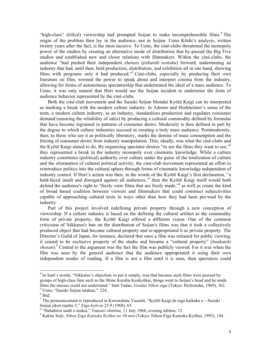"high-class" (*kōkyū*) viewership had prompted Seijun to make incomprehensible films. <sup>4</sup> The origin of the problem then lay in the audience, not in Seijun. Ueno Kōshi's analysis, written twenty years after the fact, is the most incisive. To Ueno, the ciné-clubs threatened the monopoly power of the studios by creating an alternative mode of distribution that by-passed the Big Five studios and established new and closer relations with filmmakers. Within the ciné-clubs, the audience "had pushed their independent choices (*jishuteki sentaku*) forward, undermining an industry that had, until then, held production, distribution, and exhibition all in one hand, showing films with programs only it had produced."<sup>5</sup> Ciné-clubs, especially by producing their own literature on film, wrested the power to speak about and interpret cinema from the industry, allowing for forms of autonomous spectatorship that undermined the ideal of a mass audience. To Ueno, it was only natural that Hori would use the Seijun incident to undermine the form of audience behavior represented by the ciné-clubs.

Both the ciné-club movement and the Suzuki Seijun Mondai Kyōtō Kaigi can be interpreted as marking a break with the modern culture industry. ln Adorno and Horkheimer's sense of the term, a modern culture industry, as an industry, standardizes production and regulates consumer demand (ensuring the reliability of sales) by producing a cultural commodity defined by formulas that have become ingrained in patterns of consumer desire. Modernity is then defined in part by the degree to which culture industries succeed in creating a truly mass audience. Postmodernity, then, to those who see it as politically liberatory, marks the demise of mass consumption and the freeing of consumer desire from industry manipulation. This, ideally, was what the ciné-clubs and the Kyōtō Kaigi aimed to do. By organizing spectator desires "to see the films they want to see,"<sup>6</sup> they represented a break in the industry monopoly over cinematic knowledge. While a culture industry constitutes (political) authority over culture under the guise of the totalization of culture and the elimination of cultural political activity, the ciné-club movement represented an effort to reintroduce politics into the cultural sphere through forms of cinematic knowledge independent of industry control. If Hori's action was then, in the words of the Kyōtō Kaigi's first declaration, "a bald-faced insult and disregard against all audiences,"<sup>7</sup> then the Kyōtō Kaigi itself would both defend the audience's right to "freely view films that are freely made,"<sup>8</sup> as well as create the kind of broad based coalition between viewers and filmmakers that could construct subjectivities capable of approaching cultural texts in ways other than how they had been pre-read by the industry.

Part of this project involved redefining private property through a new conception of viewership. If a culture industry is based on the defining the cultural artifact as the commodity form of private property, the Kyōtō Kaigi offered a different vision. One of the common criticisms of Nikkatsu's ban on the distribution of Seijun's films was that it took a collectively produced object that had become cultural property and re-appropriated it as private property. The Director's Guild of Japan, for instance, declared that once a film was released for public viewing, it ceased to be exclusive property of the studio and became a "cultural property" (*bunkateki*  shosan).<sup>9</sup> Central to the argument was the fact the film was publicly viewed. For it was when the film was seen by the general audience that the audience appropriated it using their own independent modes of reading. If a film is not a film until it is seen, then spectators could

<sup>&</sup>lt;sup>4</sup> In Satō's words, "Nikkatsu's objection, to put it simply, was that because such films were praised by groups of high-class fans such as the Shine Kurabu Kenkyūkai, things went to Seijun's head and he made films the masses could not understand." Satō Tadao, *Gendai Nihon eiga* (Tokyo: Hyōronsha, 1969), 362. <sup>5</sup> Ueno, "Suzuki Seijun tatakau," 224. <sup>6</sup> Ibid.

<sup>&</sup>lt;sup>7</sup> The pronouncement is reproduced in Kawarabata Yasushi, "Kyōtō Kaigi de eiga kaikaku e—Suzuki Seijun jiken repōto 3," *Eiga hyōron* 25.9 (1968), 65.

<sup>&</sup>lt;sup>8</sup> "Habahiroi undō o tenkai," *Yomiuri shinbun*, 11 July 1968, evening edition: 12.<br><sup>9</sup> Kakita Seiji, *Nihon Eiga Kantoku Kyōkai no 50-nen* (Tokyo: Nihon Eiga Kantoku Kyōkai, 1993), 144.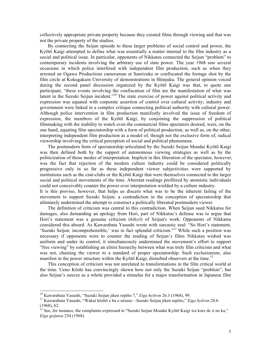collectively appropriate private property because they created films through viewing and that was not the private property of the studios.

By connecting the Seijun episode to these larger problems of social control and power, the Kyōtō Kaigi attempted to define what was essentially a matter internal to the film industry as a social and political issue. In particular, opponents of Nikkatsu connected the Seijun "problem" to contemporary incidents involving the arbitrary use of state power. The year 1968 saw several occasions in which police interfered with independent film production, such as when they arrested an Ogawa Productions cameraman at Sanrizuka or confiscated the footage shot by the film circle at Kokugakuin University of demonstrations in Shinjuku. The general opinion voiced during the second panel discussion organized by the Kyōtō Kaigi was that, to quote one participant, "these events involving the confiscation of film are the manifestation of what was latent in the Suzuki Seijun incident."<sup>10</sup> The state exercise of power against political activity and expression was equated with corporate assertion of control over cultural activity; industry and government were linked in a complex critique connecting political authority with cultural power. Although police intervention in film production manifestly involved the issue of freedom of expression, the members of the Kyōtō Kaigi, by conjoining the suppression of political filmmaking with the inability to watch even the commercial films spectators desired, were, on the one hand, equating film spectatorship with a form of political production, as well as, on the other, interpreting independent film production as a model of, though not the exclusive form of, radical viewership involving the critical perception of social and political phenomena.

The postmodern form of spectatorship articulated by the Suzuki Seijun Mondai Kyōtō Kaigi was then defined both by the support of autonomous viewing strategies as well as by the politicization of those modes of interpretation. Implicit in this liberation of the spectator, however, was the fact that rejection of the modern culture industry could be considered politically progressive only in so far as these independent viewer subjectivities were supported by institutions such as the ciné-clubs or the Kyōtō Kaigi that were themselves connected to the larger social and political movements of the time. Aberrant readings proffered by atomistic individuals could not conceivably counter the power over interpretation wielded by a culture industry.

It is this proviso, however, that helps us discern what was to be the inherent failing of the movement to support Suzuki Seijun: a contradiction in the conception of spectatorship that ultimately undermined the attempt to construct a politically liberated postmodern viewer.

The definition of criticism was central to this contradiction. When Seijun sued Nikkatsu for damages, also demanding an apology from Hori, part of Nikkatsu's defense was to argue that Hori's statement was a genuine criticism (*hihyō*) of Seijun's work. Opponents of Nikkatsu considered this absurd. As Kawarabata Yasushi wrote with sarcastic zeal: "So Hori's statement, 'Suzuki Seijun: incomprehensible,' was in fact splendid criticism."<sup>11</sup> While such a position was necessary if opponents were to counter the reading of Seijun's films Nikkatsu wished was uniform and under its control, it simultaneously undermined the movement's effort to support "free viewing" by establishing an elitist hierarchy between what was truly film criticism and what was not, chaining the viewer to a standard of proper spectatorship. Such exclusionism, also manifest in the power structure within the Kyōtō Kaigi, disturbed observers at the time.<sup>12</sup>

This conception of criticism was not unrelated to transformations in the film critical world at the time. Ueno Kōshi has convincingly shown how not only the Suzuki Seijun "problem", but also Seijun's oeuvre as a whole provided a stimulus for a major transformation in Japanese film

<sup>10</sup> Kawarabata Yasushi, "Suzuki Seijun jiken repōto 7," *Eiga hyōron* 26.3 (1968), 99. <sup>11</sup> Kawarabata Yasushi, "Wakai kōshō e ba o utsusu—Suzuki Seijun jiken repōto," *Eiga hyōron* 28.6

<sup>(1968), 62.&</sup>lt;br><sup>12</sup> See, for instance, the complaints expressed in "Suzuki Seijun Mondai Kyōtō Kaigi wa kore de ii no ka," *Eiga geijutsu* 254 (1968).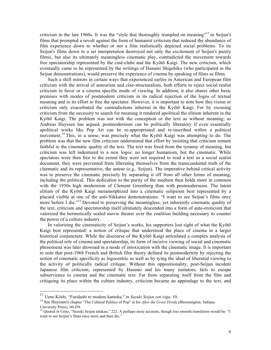criticism in the late 1960s. It was the "style that thoroughly trampled on meaning"<sup>13</sup> in Seijun's films that prompted a revolt against the form of humanist criticism that reduced the abundance of film experience down to whether or not a film realistically depicted social problems. To tie Seijun's films down to a set interpretation destroyed not only the excitement of Seijun's purely filmic, but also its ultimately meaningless cinematic play, contradicted the movement towards free spectatorship represented by the ciné-clubs and the Kyōtō Kaigi. The new criticism, which eventually came to be represented by the writings of Hasumi Shigehiko (who participated in the Seijun demonstrations), would preserve the experience of cinema by speaking of films as films.

Such a shift mirrors in certain ways that experienced earlier in American and European film criticism with the arrival of auteurism and cine-structuralism, both efforts to reject social realist criticism in favor or a cinema specific mode of viewing. In addition, it also shares other basic premises with modes of postmodern criticism in its radical rejection of the logos of textual meaning and in its effort to free the spectator. However, it is important to note how this vision or criticism only exacerbated the contradictions inherent in the Kyōtō Kaigi. For by excusing criticism from the necessity to search for meaning it rendered apolitical the elitism inherent in the Kyōtō Kaigi. The problem was not with the conception or the text as without meaning; as Andreas Huyssen has argued, postmodernism can be politically liberatory if even essentially apolitical works like Pop Art can be re-appropriated and re-inscribed within a political movement. <sup>14</sup> This, in a sense, was precisely what the Kyōtō Kaigi was attempting to do. The problem was that the new film criticism undermined that effort by insisting that criticism remain faithful to the cinematic quality of the text. The text was freed from the tyranny of meaning, but criticism was left indentured to a new logos: no longer humanism, but the cinematic. While spectators were then free to the extent they were not required to read a text as a social realist document, they were prevented from liberating themselves from the transcendental truth of the cinematic and its representative, the auteur (e.g., Seijun). The imperative behind critical activity was to preserve the cinematic precisely by separating it off from all other forms of meaning, including the political. This dedication to the purity of the medium then holds more in common with the 1950s high modernism of Clement Greenberg than with postmodernism. The latent elitism of the Kyōtō Kaigi metamorphized into a cinematic solipsism best represented by a placard visible at one of the anti-Nikkatsu demonstrations: "I want to see Seijun's films once more before I die."<sup>15</sup> Devoted to preserving the meaningless, yet inherently cinematic quality of the text, criticism and spectatorship itself ultimately descended into a form of auto-eroticism that valorized the hermetically sealed movie theater over the coalition building necessary to counter the power of a culture industry.

In valorizing the cinematicity of Seijun's works, his supporters lost sight of what the Kyōtō Kaigi best represented: a notion of critique that understood the place of cinema in a larger historical conjuncture. While the discourse of the Kyōtō Kaigi articulated a complex analysis of the political role of cinema and spectatorship, its form of incisive viewing of social and cinematic phenomena was later drowned in a mode of intoxication with the cinematic image. It is important to note that post-1968 French and British film theory defined its postmodernity by rejecting the notion of cinematic specificity as logocentric as well as by tying the ideal of liberated viewing to the activity of politically radical critique. Without this oppositionality, post-Seijun incident Japanese film criticism, represented by Hasumi and his many imitators, fails to escape subservience to cinema and the cinematic text. Far from separating itself from the film and critiquing its place within the culture industry, criticism became an appendage to the text, and

 <sup>13</sup> Ueno Kōshi, "Furidashi ni modoru kantoku," in *Suzuki Seijun zen'eiga*, 10.

<sup>14</sup> See Huyssen's chapter "The Cultural Politics of Pop" in his *After the Great Divide* (Bloomington: Indiana University Press), 141-159.<br><sup>15</sup> Quoted in Ueno, "Suzuki Seijun tatakau," 222. A perhaps more accurate, though less smooth translation would be: "I

want to see Seijun's films once more and then die."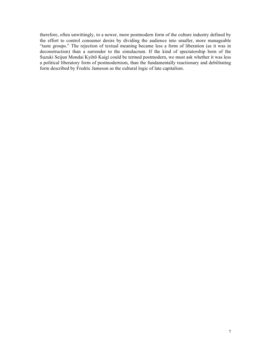therefore, often unwittingly, to a newer, more postmodern form of the culture industry defined by the effort to control consumer desire by dividing the audience into smaller, more manageable "taste groups." The rejection of textual meaning became less a form of liberation (as it was in deconstruction) than a surrender to the simulacrum. If the kind of spectatorship born of the Suzuki Seijun Mondai Kyōtō Kaigi could be termed postmodern, we must ask whether it was less a political liberatory form of postmodernism, than the fundamentally reactionary and debilitating form described by Fredric Jameson as the cultural logic of late capitalism.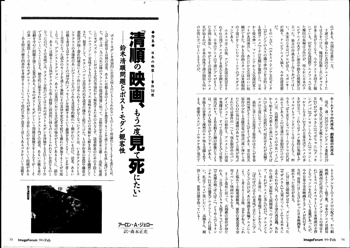のである。空洞化は進む一方。

だ。 が減り、テレビアニメも減り、今や沈滞状態 立った。独自の作風を早く作りあげてほし いでいる。 日本と差がなくなり、今やアメリカ相手に稼 ちは力をつけた。韓国は技術と共にギャラも い。本家の日本はバブルが消え、スポンサー レビアニメのあざとい演出や動きの模倣が目 た韓国の長編は力作だが、明らかに日本のテ 下請けで鍛えられた各国のアニメーターた 92年の広島国際アニメフェスで見

編ができた。おもな作画スタッフは東映動画 ョンである。 の下請けをしていたマレーシアのプロダクシ ットが共同演出し、あたたかな気持のいい短 から鈴木伸一、マレーシアから人気漫画家ラ る教育アニメ『ミナの笑顔』を製作した。 ー》がアジアの人々の識字率向上を目的とす その一方で、《ユネスコ・アジア文化センタ 日本

のお役に立ったといえそうだが。 史が始まれば、日本の海外下請け開拓も何か た企画に参加し、 ている。日本のアニメの下請けプロがそうし れぞれの国でアニメ化する遠大な企画を立て ユネスコはこの後、アジア各国の民話をそ やがてその国独自のアニメ

# ホームドラマの代用品、劇映画の代用品 現在、週一回30分のテレビアニメ番組は29

苓 品ふうである。この〔普通の日常動作だけのァ フォルメもファンタジーもほとんどなく、 さが目立つ。これらはアニメ独特の飛躍もデ R』だが『サザエさん』『コボちゃん』『クッキ ニメ]は、高畑勲の『アルプスの少女ハイジ」 今さっぱり見なくなったホームドラマの代用 っかりしなさい 』などの日常生活アニメの多 ングパパ』『クレヨンしんちゃん』『ツヨシし ニメの主流になっている。 ろ』で完成した技術だが、現在はそれが長編ア から始まり『火垂るの墓』『おもひでぽろぽ 一番人気は『美少女戦士セーラームーン ŀF

手描きの背景なら理想のロケ地も光線も思う 演出ばかり。まあ見飽きた顔の俳優たちより ダイビジュアルの新作も、アニメらしい誇張 まま。俳優のスケジュールやロケ先で発生す は、アニメの人物の方がリアリティがある。 や飛躍はなく、すべて実写とSFXで可能な まれたのは事件の一つ)も、現在制作中のバン たCOO』(角川逮捕のあおりで公開が危ぶ 原作の少年と水棲恐竜の物語『遠い海から来 映画『海がきこえる』がそうであり、景山民夫 最初に書いた氷室冴子原作のほろにが青春

> 疲れきった社会がある。 当然、背後にはしなびかかった日本映画界と、 映画よりぐっと低予算。日本のアニメは結局 今や日常小市民映画さえアニメが代行する。 手なジャンルを代行、という意義があったが るトラブルなどのリスクの心配ゼロ。かつ劇 れでもスペースオペラという日本映画の不得 〔劇映画の代用品〕か。アニメ・ブームの頃はそ

『サザエさん』も『男はつらいよ』も止めるに ア。それがアニメに及んだのだ。アニメぐら れた暖かい家庭や人間関係へのノスタルジ 止められぬ人気、その上小津の再認識。失わ いもっと奔放に、多種多様でもよかろうに。 CMに懐古趣味がはやり、ズレてしまった 『ぼのぼの』はその意味ではたしかに〔アニ

用イベント映画のおもむき。 また極めて小劇場演劇風。原作の愛読者大会 よう、と考えること自体、首をひねる。これ メならでは〕だが、あの漫画を長編アニメにし

待します。世界は狸を待っている! 子チエ』以来の爆笑アニメらしく、これは嬉し 『平成狸合戦・ぽんぽこ』。どうやら『じゃりン れる。日常でもなけりゃ人間ドラマでもない い。私はアニメで笑いたい! 高畑さん、 そこで最初に戻って、高畑勲の新作が待た 期



て

ロン・ム・ジェロー 訳=森本正史

◆特集▲

日本の映像

# 鈴木清順問題とポスト・モダン観客性

 $\sum_{k=1}^{n}$ の第一の要因として日本のモダニティーというものが果たして存在したのかどうかという問題がある 活動を中心に問題を論じる必要がある。日本のポスト・モダンという問題は複雑さをともなうが ではないということになる。歴史的に媒介された文化的コンテクスト内での読者、 なったのだ。その意味では、テクスト分析だけでは日本のポスト・モダンを評価する方法としては十分 となった。デコンストラクション、あるいは英国における文化研究の場合がそうであるように、 とと対等になった読みのモードを通じて無限にその意味を変化させ続ける戯れに参加することが可能 は観る者はもはやテクストの「神学的」メッセージを理解するという義務を負うこなく、 ンテクストの多様性のあいだでくりひろげられる言語学的戯れへと開かれているのだ。読者、あるい 義批評が描く潜在的構造によって枠にはめられることがなくなったテクストは、いまやテクストとコ きた。結果として、ロラン・バルトは作者の死を読者の誕生と結びつけた。もはや作者の意図や構造主 て、シニフィアン (意味するもの)をシニフィエ (意味されるもの)の専制から解き放つことを構想して したモダニズム-た。彼らは一九六八年以降のフランスの批評理論に従って、芸術作品を高度資本主義 しばしば既存とは別の読者、あるいは観る者のイメージを想定することを通じてそれを成し遂げてき ポスト・モダンを政治的に自由な何ものにもとらわれないものとして理論化しようとする者たちは ある特定の歴史的事件を考察することによって現代日本で読者とはどうあるべきかという命題を あるいは観ること自体がテクスト生成と同様に政治的に何ものにもとらわれない自由なものと -における文化の等価化から解放するためのみならず、読者解放のための手段とし あるいは観る者の いまや書くこ 高度に発達 、読む

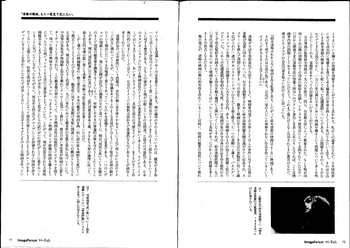らかにしてくれる、客観性をめぐっての討論をみいだすことができる。 かででてきた言説のなかに、一九六〇年以降の日本において映画を観るという問題について多くを明 - ...よる鈴木清順の解雇とそれに続いて起った抗議運動についてである。この問題そのものと、そのなによる鈴木清順の解雇とそれに続いて起った抗議運動についてである。この問題そのものと、そのな における政治的に複雑さを帯びたある観客性の形成を例としてとりあげてみたいと思う。それは日活 とりまいている種々の問題を洞察することができると思われる。私はこの論考のなかで、日本映画界

堀はシネ・クラブの会長川喜多和子に次のように語っている。 画界内部の問題としておさまっていただろう。これまで幾たびとなく引用されてきた暴言のなかで ○日から開催予定の清順作品の特集上映会へのプリント貸出しを差し止めたりしなければ、ことは映 時にそれ以降の清順の全ての作品の配給を封鎖し、シネ・クラブ研究会によって企画されていた五月一 日活専属の監督鈴木清順は一九六八年四月二四日、社長堀久作によって解雇された。もしも堀が同

イメージを与えることはできない」それを上映するのは日活の恥である。 「鈴木清順はわからない映画を作る監督である。したがって鈴木清順の映画はよくない映画であり. 日活が一部の人にしか理解されない作品を作っているという

基盤が迅速に固められていった。対立を調整するために鈴木清順問題共闘会議がすぐに結成され、 ○年代末期の日本において映画を観ることにはいったいどういう意味があったのかという問題を考え ならず現在配給を封鎖されている作品を観る権利にも関わっていたとすれば、鈴木清順問題は一九六 けていった。これらの抗議運動が契約の正当性、あるいは映画作家の自分自身の作品を作る権利のみ スカッションを開いてこの問題をさらに大きな社会的、あるいは映画そのものの抱えた問題と結びつ るときの焦点となるだろう。 り広げられた一連のデモンストレーションのなかでも最も際立った一つの運動へと導き、 クリーンを挟んで両側に位置する二つの存在 清順が日活を契約違反で告訴するとともに、映画界内部での全体としてのこの事件に対する反発の −観客と映画の作り手 →を日活の首脳部に対して繰 パネルディ  $\overline{\mathbf{z}}$ 

堀の発言が、 清順の映画の興行的失敗を恐れていることと同時に、映画の観客の役割について触れ

考えられていたのだ。 興行的に好ましいことではない。日活のイメージの解釈は前向きで普遍的なものであることが絶対と のスタジオ・システムにおける映画会社のイメージの重要性を念頭において考えると、マイナス・イメ とに対する懸念である。どちらの場合にも堀が心配しているのは間違った読みの可能性である。 ていることを認識しておくのは重要なことである。堀の論理の中心となっているのは、観客がまず第 ージはいうまでもなく、あいまいなイメージー 一に日活という会社のイメージ、そして第二に清順作品のイメージをどのように読みとるかというこ →多様な読みの可能なイメージ-→をうちだすことは 日本

. .

最も社会的水準の低い層にも消費 (=理解)可能な製品を必要としていたのだ。 とがある。堀は「国民娯楽」の「奉仕者」であり、近代消費者資本主義、すなわち大衆の論理に従って、のもとで同質の観客層を構築することによって、理解しやすさの普遍的水準を守ろうとしたというこ たという戦法にたいする恐怖感と重なりあっていったのかを認識することは重要である。一つのレヴ -ジ決定に関わってくるが、 清順作品の「不可解性」という問題は、会社の顔に泥を塗りかねないという点で明らかに日活のイメ 一方で知識をめぐるこのような言説がどのようにして既存とは別の観か

注<br>2

河原畑寧「長い長い斗い

鈴木

清順レポー

ト6」、「映画評論」(―

年2月号)品に引用されている。

たくないと主張したが、特殊な映画をつくることによって国民大衆よりもそのようなグル いることに気づいていなかったわけがない。彼はある特定のグループにしか評価されない映画を作り 画観客(あくまでもそういうものが存在していたと仮定したらの話だが)の時代がとうに過ぎ去って る必要がある。堀は他の人たちと同様に一九六〇年代における観客性の急激な変化に気づいていた。 う断定としてとらえるのではなく、観客性に対する企業側の支配に関連した一つの戦法としてとらえ になった (この両ジャンルとも日活の主要作品となっていた)。したがって、 中流層の家族客が映画館と都会を離れてテレビと近郊へと移行し、都会の若い男性客が映画の主要な 、ットにすることを恐れていたわけでは決してない 、ーゲットとして残された。この観客層の移行によって、大手映画会社は伝統的なメロドラマを捨て しかし堀のこの映画観客の一般大衆化を、日本の観客が映画を画一的に読み取る純粋な大衆だとい 残った観客の興味を引くようなジャンル、つまりアクション映画とピンク路線の映画を撮るよう - 白活はもうすでにそのような映画を作ってい 堀が均質化された大衆映 ープをタ



**21に引用されている。** 清順全発言」(立風書房、 注 上野昂志「鈴木清順闘う」、「鈴木 .o.e.e.年) p.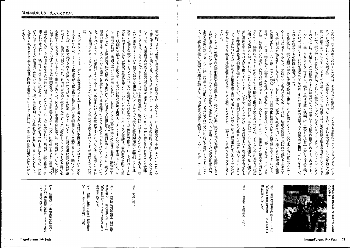客に反感を抱いていたということでは決してない。当時彼らは日活の映画を観る観客の中心をなして ラブに代表されるような観客性 たのだ。むしろ堀が恐れていたのは、 これらの観客たちの映画の観方だった。 ていたが、同じくらい彼を困惑させたのは、まさに幾人かの洞察力ある観察者が指摘していたような、 いたのだ。堀の抱いた恐れの本質は、これらの特定のファン、あるいはシネ・クラブというコンテクス ルが不可能になるという点にある。確かに堀は清順の映画、特に『殺しの烙印』に対して反感を抱い のなかでは、大衆化された観客のときには可能だった産業による観客の観客性のモードのコント -を支持することだったようだ。それは大学生くらいの年齢層の観 ある特定の観客性 すなわち清順のファン・クラブやシネ・ク Ė

ブは五社を通さない既存とは別の配給のモードを創りあげることによって企業による独占支配力をお な映画を作ることへと駆り立てたのだ。つまり、いう事実が堀を悩ませたわけではない。むしろ※ |件の二十年後に書かれた上野昂志の分析は最も鋭く本質を見抜いている。 佐藤忠男は、堀の論理の中心に清順の映画を観にくる客を据えることで彼の悪名高い宣言を分かり く言い換えてみせた。佐藤がいう堀の思考様式によれば、清順の映画が選ばれた観客を集めたと むしろ逆に、「高級」な観客層内での清順の名声が清順を難解 問題の根は清順ではなく観客側にあることになる。 上野によれば、シネ・クラ

注<br>3

佐藤忠男「日本映画ー968年」、

969年)<br>p.

36に引用されている。 「現代日本映画 」(評論社、

ている。 主的選択を突きつけて揺さ振っていくことになる」シネ・クラブは、大衆観客という理想の土台を揺るの側の成熟があるが、それは、これまでの製作・配給・興行を一手に握っていた企業側に、見る側の自 表されるような観客の行動形態を打ち崩すために利用したことを、 びやかし、映画の作り手との新しくてより緊密な関係を築きあげたのだ。シネ・クラブ内部では「観客 って、映画について語り解釈する権限を産業側から奪いとったのだ。堀が清順事件をシネ・クラブに代 がす自律的な観客性の形態に備えるかたちで、 特に映画に自分たちの独自の研究を提示することによ 上野はごく自然ななりゆきと考え

注4

上野昂志、前掲論文、

 $\frac{p}{224}$ 

消費者の欲望のパターンに深く浸透した定則によって規定された文化的商品を生産することによっ とが可能である。アドルノとホークハイマーの言葉の定義によると、 シネ・クラブ運動も鈴木清順問題共闘会議も共に近代文化産業に亀裂を刻む運動として解釈するこ 生産を規格化し(販売の信頼性を確保して)、 消費者の需要を統制する。よって、 産業としての近代文化産業は、 モダニティ ーは

だ。 たで文化的テクストにアプローチすることができるという主体性を築きあげることが可能となったの 映画の作り手とのあいだに幅広い基盤をもった連合関係のようなものを作り上げたということにな る。それによって、 するならば、 立した映画的知識という形態を通じて文化領域に政治を再導入しようとする努力を象徴して 文化に対する完全な (政治的)権威を築いていったのに対し、シネ・クラブ運動は、産業側の支配から独 状態の崩壊を象徴することになった。文化産業が文化の総合化と政治活動の排除という名目のもとに たい映画を見ようという観客の要求を組織した」ことによって、彼らは映画的知識の産業側による独占ることになる。まさにこれこそシネ・クラブと共闘会議が、観念的にはもくろんでいたことである。「見 て規定することが可能である。そしてポスト・モデニティーは、それを政治的に自由なものとみなす者 部分的には文化産業が真性の大衆化した観客を作りあげることにどの程度まで成功しているかによ にとって、大量消費の終焉と消費者の欲望が産業によるコントロールから解き放たれることを意味す も堀の言動が、共闘会議の第一声明のなかで言われたように [観客全体への露骨な侮辱と無視]だと |共闘会議自体は観客の「自由に作られた映画を自由に見る」権利を守るとともに、観客と 産業側によってあらかじめ読まれたものを解釈するといった方法とは別のやりか いる。  $\Lambda$ 5

開された時点から、観客は自分自身の読みのモードによってその作品を自分のものにするのだ。映画 なぜなら観ることを通じて観客が映画を創造していくこと自体は、 は人に見られるまでは映画ではないならば、 論争の中心は、その映画がすでに一般に公開されているという点に絞られた。映画が一般の観客に公 公開されれば、その作品はもはや映画会社だけの占有財産ではなく、「文化的所産」となると宣言した。 有財産として占有しているという批判があった。 に対する一般的な批判の一つに、 るならば、 も含まれていた。もしも文化産業が文化産物を私有財産の商品形態として定義することに基づいて このプロジェクトには、新しい観客性のコンセプトを通じて私有財産を再定義しなおすという試み 共闘会議はそれとは違ったヴィジョンを提示したことになる。日活の清順映画の配給封鎖 日活が集合的に生産されすでに文化財産となっているものを再び私 観る者は映画という私有財産を共有することができる。 例えば日本映画監督協会は、 映画会社の私有財産ではない 映画が いったん (書般) から  $\mathbf{v}$ 

> 注<br>5 前項に同じ

映画改革へ– 注<br>6 再発言されている。 『映画評論 J(ー968年9月号) a.65で この声明は、河原畑寧「共闘会議で −鈴木清順レポ  $\frac{3}{2}$ 

淳 (1968年7月11日夕刊)、 「幅広い運動を展開」、 「読売新聞」  $\frac{12}{\text{m}}$ 

十年 【日本映画監督協会、 洁 a.44に引用されている。 柿田清二「日本映画監督協会の五 - 992年)

清順の不法解雇に反対して品年6月12日行

78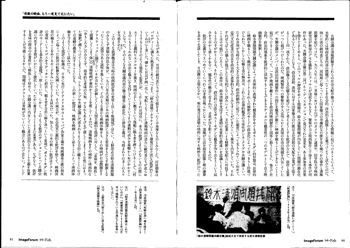禽 画製作を解釈した。 結びつけることによって、 が一つに結びつけられ である」ということになる。政治活動、表現に対する国家権力の行使は文化活動の支配を企業が主張す を借りてまとめると、「このフィルム押収をめぐる問題は、鈴木清順問題が内包していた問題の顕在化 件かあった。共闘会議主催の第二回パネル・ディスカッションで発言された意見を、ある参加者の言葉 問題を結びつけた。一九六八年には、三里塚における小川プロのカメラマン逮捕や、 特に日活の敵対者たちは、同時期に起こっていた国家権力の専横的な行使を含む幾つかの事件と清順 ることと同一視された。政治権力と文化権力を結びつけて考えようとする批評のなかで、 研究会が新宿のデモを撮影したフィルムが没収されるなど、警察が自主映画製作に干渉する事件が何 本質的には映画産業内部の問題だったことを社会的、政治的な問題として定義づけようと試みたのだ。 共闘会議は清順問題をこれらの社会支配や権力というより大きな問題に結びつけることによって、 共闘会議のメンバーは政治的映画製作への抑圧を観客が観たい映画を観ることができないことと 政治的現象を批評的に認知することもできるラディカルな観客性の一つのモデルとして自主映 たのだ。映画製作への警察の介入は明らかに表現の自由の問題を内包していた 一方で映画を観ることを政治的映画製作と同等に扱うとともに、 国学院大学映画 政府と産業 他方で社

が

みを土台から崩しかねない、 ことは不可能だったろう。 ぞればらばらの個人が提示した正当的でない読みによって、文化産業による解釈の支配力に対抗する 近代文化産業の否定を政治的に進歩的なものとみなすことができたという事実も内包していた。 に映画を観るという戦法によるサポー るときの手がかりとなる。それによって、政治的に自由なポスト・モダンな観客を作り出そうという試 たそれ自体が当時のより大きな社会的、政治的動向に結びついた制度によって支えられていて初めて、 けられた。 鈴木清順問題共闘会議によって具体的に表現された観客性をめぐるポスト・モダン的形態は、自律的 しかしこの観る者の解放は、これらの自律的観客の主体性がシネ・クラブや共闘会議といっ この条件は、鈴木清順を支持する運動の本質的な間違いを認識しようとす 観客性の概念に含まれた、矛盾が浮き彫りになってくるのだ。 トとそれらの解釈のモードの政治化によってはっきりと特徴づ それ

批評の定義をつきつめていくにつれこの矛盾は明らかになった。清順が日活を損害賠償と堀の謝罪

「映画評論」(-969年3月号) a.Sp. 注9 河原畑寧「鈴木清順レポ

「鈴木清順問題共闘会議」結成大会で挨拶する鈴木清順監督

を求めて告訴したとき、 日活側の主張のなかに、堀の発言は清順の映画に対する純粋な「批評」だった

を当惑させ とになっ ものにもとらわれない自由な観方」を支持していこうというその運動の試みを基盤からおびやかすこ うとするときそのような態度も必要だが、しかしそれは同時に、本当の批評とそうでないものの間に いうわけ」と書いた。確かに日活が画一化し、支配しようとした清順映画の読みに敵対者たちが逆らおパロデリーに満ちた熱意をこめて、| つまり 『鈴木清順ワカラナイ』としょ坊务言にこりく『れ言』よし というものがあった。日活の敵対者たちはこの主張をまったく不条理なものとみなした。 ト主義的ヒエラルキーを築き、映画の正しい観方という規範に観る者を縛りつけることで、「何 ○イーに満ちた熱意をこめて、「つまり、 rptに。<br>また。そのような共闘会議内部の権力構造に顕在化した排他主義は、当時まわりの多くの人々 河原畑寧は

験を守ろうという試みだった。 ての運動の趣旨に反することになる。この新しい批評は、 た解釈で縛りつけてしまうことは、シネ・クラブや共闘会議に代表されるような自由に観ることにむけ 「おもしろさ」のみならず、根本的な意味の欠如、すなわちあそびまで壊してしまうような型にはまっ て蹂躙してしまう体]の 清順映画が歯向かうことを促しているのだ。清順映画をその純粋に映画的な アリスティックに描写しているか否かで評価してしまう人間主義的な批評に対して、  $\sim$ のみならず清順の作品全体が、 たことに説得力ある説明を施している。どのような豊かな映画体験をも、その映画が社会問題をリ このような批評概念は当時の映画批評界の変容と決して無関係ではない。上野昂志は鈴木清順問題 一九六〇年代末期の日本の映画批評に大きな変容をもたらす刺激とな 映画を映画として語ることによって映画体 「意味を、 、徹底し

議に内在する矛盾がいかにして激化していったかに着目することもまた重要である。 を意味の探求の必要性から解放して初めて、 評のモードとも基本的な前提で一致していた。しかし、このような批評のヴィジョンによって共闘会 の意味というロ 有の観ることをめぐるモードをみいだそうとする試みだった。 によって起こった批評の転換を反映していた。その両方が、 このような批評の転換は、日本に先行してアメリカやヨーロッパで作家主義や映画構造主義の到来 ることが可能となるからだ。 「ゴスをラディカルに拒否し、観る者を自由に解き放つという意味で、ポスト・モダン批 問題はテクストには意味がない 共闘会議に内在していた非政治的なエリ 社会現実主義的な批評を捨てて、 、加えて、 という概念にあるのではない。 日本の新しい批評はテクスト なぜなら、 ト主義を放棄 アンド 映画固 批評

> 洁 ☆余木清順レポ 年6月号)pig。 河原畑寧「和解交渉へ場を移す ト」、「映画評論」(ー ġ

洁川 号)で掲載されている不満などを参考に いいのか」、「映画芸術」(ー してほし 「鈴木清順問題共闘会議はこれで ف<br>8<br>8 年10月

注<br>12 「鈴木清順全映画」 e.c. 上野昂志「振り出 しに戻る監督」